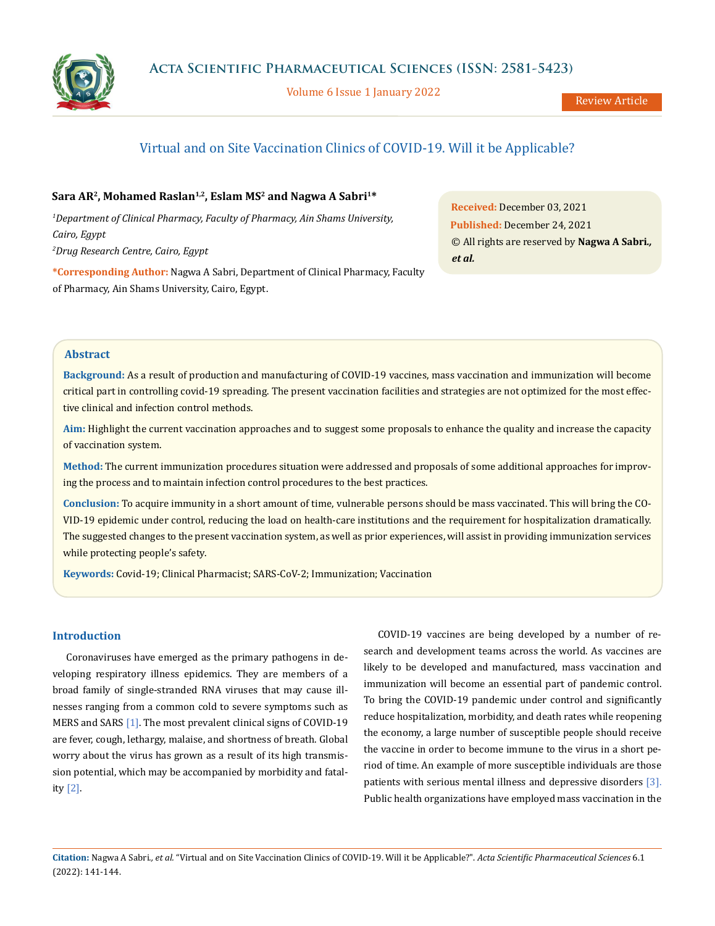

Volume 6 Issue 1 January 2022

# Virtual and on Site Vaccination Clinics of COVID-19. Will it be Applicable?

# Sara AR<sup>2</sup>, Mohamed Raslan<sup>1,2</sup>, Eslam MS<sup>2</sup> and Nagwa A Sabri<sup>1\*</sup>

*1 Department of Clinical Pharmacy, Faculty of Pharmacy, Ain Shams University, Cairo, Egypt 2 Drug Research Centre, Cairo, Egypt*

**\*Corresponding Author:** Nagwa A Sabri, Department of Clinical Pharmacy, Faculty of Pharmacy, Ain Shams University, Cairo, Egypt.

**Received:** December 03, 2021 **Published:** December 24, 2021 © All rights are reserved by **Nagwa A Sabri***., et al.*

## **Abstract**

**Background:** As a result of production and manufacturing of COVID-19 vaccines, mass vaccination and immunization will become critical part in controlling covid-19 spreading. The present vaccination facilities and strategies are not optimized for the most effective clinical and infection control methods.

**Aim:** Highlight the current vaccination approaches and to suggest some proposals to enhance the quality and increase the capacity of vaccination system.

**Method:** The current immunization procedures situation were addressed and proposals of some additional approaches for improving the process and to maintain infection control procedures to the best practices.

**Conclusion:** To acquire immunity in a short amount of time, vulnerable persons should be mass vaccinated. This will bring the CO-VID-19 epidemic under control, reducing the load on health-care institutions and the requirement for hospitalization dramatically. The suggested changes to the present vaccination system, as well as prior experiences, will assist in providing immunization services while protecting people's safety.

**Keywords:** Covid-19; Clinical Pharmacist; SARS-CoV-2; Immunization; Vaccination

## **Introduction**

Coronaviruses have emerged as the primary pathogens in developing respiratory illness epidemics. They are members of a broad family of single-stranded RNA viruses that may cause illnesses ranging from a common cold to severe symptoms such as MERS and SARS [1]. The most prevalent clinical signs of COVID-19 are fever, cough, lethargy, malaise, and shortness of breath. Global worry about the virus has grown as a result of its high transmission potential, which may be accompanied by morbidity and fatality [2].

COVID-19 vaccines are being developed by a number of research and development teams across the world. As vaccines are likely to be developed and manufactured, mass vaccination and immunization will become an essential part of pandemic control. To bring the COVID-19 pandemic under control and significantly reduce hospitalization, morbidity, and death rates while reopening the economy, a large number of susceptible people should receive the vaccine in order to become immune to the virus in a short period of time. An example of more susceptible individuals are those patients with serious mental illness and depressive disorders [3]. Public health organizations have employed mass vaccination in the

**Citation:** Nagwa A Sabri*., et al.* "Virtual and on Site Vaccination Clinics of COVID-19. Will it be Applicable?". *Acta Scientific Pharmaceutical Sciences* 6.1 (2022): 141-144.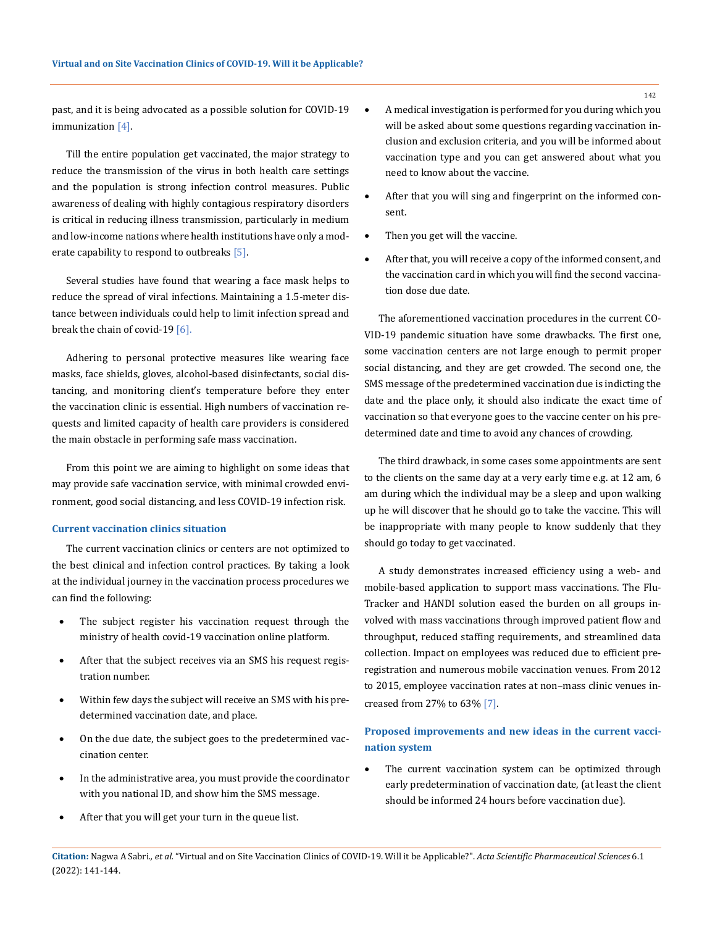past, and it is being advocated as a possible solution for COVID-19 immunization [4].

Till the entire population get vaccinated, the major strategy to reduce the transmission of the virus in both health care settings and the population is strong infection control measures. Public awareness of dealing with highly contagious respiratory disorders is critical in reducing illness transmission, particularly in medium and low-income nations where health institutions have only a moderate capability to respond to outbreaks [5].

Several studies have found that wearing a face mask helps to reduce the spread of viral infections. Maintaining a 1.5-meter distance between individuals could help to limit infection spread and break the chain of covid-19 [6].

Adhering to personal protective measures like wearing face masks, face shields, gloves, alcohol-based disinfectants, social distancing, and monitoring client's temperature before they enter the vaccination clinic is essential. High numbers of vaccination requests and limited capacity of health care providers is considered the main obstacle in performing safe mass vaccination.

From this point we are aiming to highlight on some ideas that may provide safe vaccination service, with minimal crowded environment, good social distancing, and less COVID-19 infection risk.

#### **Current vaccination clinics situation**

The current vaccination clinics or centers are not optimized to the best clinical and infection control practices. By taking a look at the individual journey in the vaccination process procedures we can find the following:

- The subject register his vaccination request through the ministry of health covid-19 vaccination online platform.
- After that the subject receives via an SMS his request registration number.
- Within few days the subject will receive an SMS with his predetermined vaccination date, and place.
- On the due date, the subject goes to the predetermined vaccination center.
- In the administrative area, you must provide the coordinator with you national ID, and show him the SMS message.
- After that you will get your turn in the queue list.
- A medical investigation is performed for you during which you will be asked about some questions regarding vaccination inclusion and exclusion criteria, and you will be informed about vaccination type and you can get answered about what you need to know about the vaccine.
- After that you will sing and fingerprint on the informed consent.
- Then you get will the vaccine.
- After that, you will receive a copy of the informed consent, and the vaccination card in which you will find the second vaccination dose due date.

The aforementioned vaccination procedures in the current CO-VID-19 pandemic situation have some drawbacks. The first one, some vaccination centers are not large enough to permit proper social distancing, and they are get crowded. The second one, the SMS message of the predetermined vaccination due is indicting the date and the place only, it should also indicate the exact time of vaccination so that everyone goes to the vaccine center on his predetermined date and time to avoid any chances of crowding.

The third drawback, in some cases some appointments are sent to the clients on the same day at a very early time e.g. at 12 am, 6 am during which the individual may be a sleep and upon walking up he will discover that he should go to take the vaccine. This will be inappropriate with many people to know suddenly that they should go today to get vaccinated.

A study demonstrates increased efficiency using a web- and mobile-based application to support mass vaccinations. The Flu-Tracker and HANDI solution eased the burden on all groups involved with mass vaccinations through improved patient flow and throughput, reduced staffing requirements, and streamlined data collection. Impact on employees was reduced due to efficient preregistration and numerous mobile vaccination venues. From 2012 to 2015, employee vaccination rates at non–mass clinic venues increased from 27% to 63% [7].

# **Proposed improvements and new ideas in the current vaccination system**

The current vaccination system can be optimized through early predetermination of vaccination date, (at least the client should be informed 24 hours before vaccination due).

**Citation:** Nagwa A Sabri*., et al.* "Virtual and on Site Vaccination Clinics of COVID-19. Will it be Applicable?". *Acta Scientific Pharmaceutical Sciences* 6.1 (2022): 141-144.

142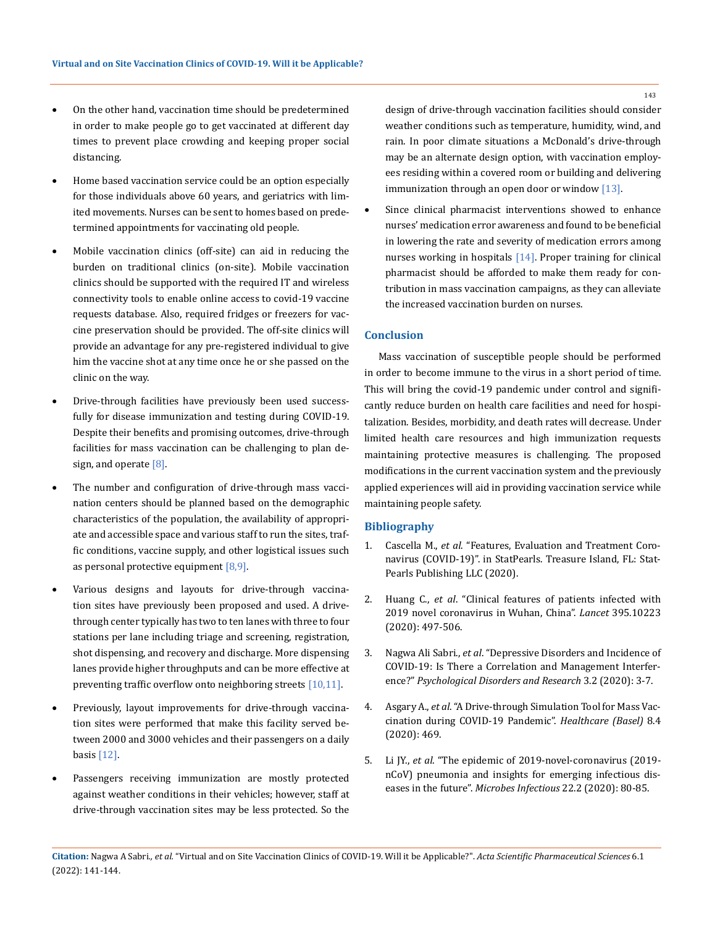- • On the other hand, vaccination time should be predetermined in order to make people go to get vaccinated at different day times to prevent place crowding and keeping proper social distancing.
- Home based vaccination service could be an option especially for those individuals above 60 years, and geriatrics with limited movements. Nurses can be sent to homes based on predetermined appointments for vaccinating old people.
- • Mobile vaccination clinics (off-site) can aid in reducing the burden on traditional clinics (on-site). Mobile vaccination clinics should be supported with the required IT and wireless connectivity tools to enable online access to covid-19 vaccine requests database. Also, required fridges or freezers for vaccine preservation should be provided. The off-site clinics will provide an advantage for any pre-registered individual to give him the vaccine shot at any time once he or she passed on the clinic on the way.
- Drive-through facilities have previously been used successfully for disease immunization and testing during COVID-19. Despite their benefits and promising outcomes, drive-through facilities for mass vaccination can be challenging to plan design, and operate [8].
- The number and configuration of drive-through mass vaccination centers should be planned based on the demographic characteristics of the population, the availability of appropriate and accessible space and various staff to run the sites, traffic conditions, vaccine supply, and other logistical issues such as personal protective equipment [8,9].
- • Various designs and layouts for drive-through vaccination sites have previously been proposed and used. A drivethrough center typically has two to ten lanes with three to four stations per lane including triage and screening, registration, shot dispensing, and recovery and discharge. More dispensing lanes provide higher throughputs and can be more effective at preventing traffic overflow onto neighboring streets [10,11].
- • Previously, layout improvements for drive-through vaccination sites were performed that make this facility served between 2000 and 3000 vehicles and their passengers on a daily basis [12].
- Passengers receiving immunization are mostly protected against weather conditions in their vehicles; however, staff at drive-through vaccination sites may be less protected. So the

design of drive-through vaccination facilities should consider weather conditions such as temperature, humidity, wind, and rain. In poor climate situations a McDonald's drive-through may be an alternate design option, with vaccination employees residing within a covered room or building and delivering immunization through an open door or window [13].

Since clinical pharmacist interventions showed to enhance nurses' medication error awareness and found to be beneficial in lowering the rate and severity of medication errors among nurses working in hospitals [14]. Proper training for clinical pharmacist should be afforded to make them ready for contribution in mass vaccination campaigns, as they can alleviate the increased vaccination burden on nurses.

### **Conclusion**

Mass vaccination of susceptible people should be performed in order to become immune to the virus in a short period of time. This will bring the covid-19 pandemic under control and significantly reduce burden on health care facilities and need for hospitalization. Besides, morbidity, and death rates will decrease. Under limited health care resources and high immunization requests maintaining protective measures is challenging. The proposed modifications in the current vaccination system and the previously applied experiences will aid in providing vaccination service while maintaining people safety.

#### **Bibliography**

- 1. Cascella M., *et al*. "Features, Evaluation and Treatment Coronavirus (COVID-19)". in StatPearls. Treasure Island, FL: Stat-Pearls Publishing LLC (2020).
- 2. Huang C., *et al*[. "Clinical features of patients infected with](https://www.thelancet.com/journals/lancet/article/PIIS0140-6736(20)30183-5/fulltext) [2019 novel coronavirus in Wuhan, China".](https://www.thelancet.com/journals/lancet/article/PIIS0140-6736(20)30183-5/fulltext) *Lancet* 395.10223 [\(2020\): 497-506.](https://www.thelancet.com/journals/lancet/article/PIIS0140-6736(20)30183-5/fulltext)
- 3. Nagwa Ali Sabri., *et al*[. "Depressive Disorders and Incidence of](https://www.researchgate.net/publication/345402040_Depressive_Disorders_and_Incidence_of_COVID-19_Is_There_a_Correlation_and_Management_Interference) [COVID-19: Is There a Correlation and Management Interfer](https://www.researchgate.net/publication/345402040_Depressive_Disorders_and_Incidence_of_COVID-19_Is_There_a_Correlation_and_Management_Interference)ence?" *[Psychological Disorders and Research](https://www.researchgate.net/publication/345402040_Depressive_Disorders_and_Incidence_of_COVID-19_Is_There_a_Correlation_and_Management_Interference)* 3.2 (2020): 3-7.
- 4. Asgary A., *et al*[. "A Drive-through Simulation Tool for Mass Vac](https://pubmed.ncbi.nlm.nih.gov/33182336/)[cination during COVID-19 Pandemic".](https://pubmed.ncbi.nlm.nih.gov/33182336/) *Healthcare (Basel)* 8.4 [\(2020\): 469.](https://pubmed.ncbi.nlm.nih.gov/33182336/)
- 5. Li JY., *et al*[. "The epidemic of 2019-novel-coronavirus \(2019](https://pubmed.ncbi.nlm.nih.gov/32087334/) [nCoV\) pneumonia and insights for emerging infectious dis](https://pubmed.ncbi.nlm.nih.gov/32087334/)eases in the future". *[Microbes Infectious](https://pubmed.ncbi.nlm.nih.gov/32087334/)* 22.2 (2020): 80-85.

143

**Citation:** Nagwa A Sabri*., et al.* "Virtual and on Site Vaccination Clinics of COVID-19. Will it be Applicable?". *Acta Scientific Pharmaceutical Sciences* 6.1 (2022): 141-144.